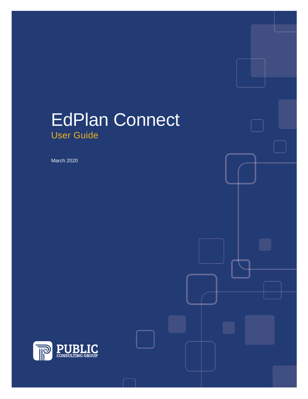# EdPlan Connect User Guide

March 2020

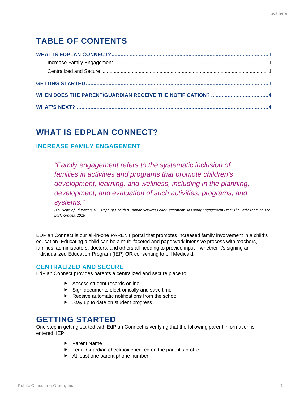# **TABLE OF CONTENTS**

## <span id="page-1-0"></span>**WHAT IS EDPLAN CONNECT?**

#### <span id="page-1-1"></span>**INCREASE FAMILY ENGAGEMENT**

*"Family engagement refers to the systematic inclusion of families in activities and programs that promote children's development, learning, and wellness, including in the planning, development, and evaluation of such activities, programs, and systems."* 

*U.S. Dept. of Education, U.S. Dept. of Health & Human Services Policy Statement On Family Engagement From The Early Years To The Early Grades, 2016*

EDPlan Connect is our all-in-one PARENT portal that promotes increased family involvement in a child's education. Educating a child can be a multi-faceted and paperwork intensive process with teachers, families, administrators, doctors, and others all needing to provide input—whether it's signing an Individualized Education Program (IEP) **OR** consenting to bill Medicaid**.**

#### <span id="page-1-2"></span>**CENTRALIZED AND SECURE**

EdPlan Connect provides parents a centralized and secure place to:

- ▶ Access student records online
- $\triangleright$  Sign documents electronically and save time
- Receive automatic notifications from the school
- $\triangleright$  Stay up to date on student progress

### <span id="page-1-3"></span>**GETTING STARTED**

One step in getting started with EdPlan Connect is verifying that the following parent information is entered IIEP:

- ▶ Parent Name
- ► Legal Guardian checkbox checked on the parent's profile
- At least one parent phone number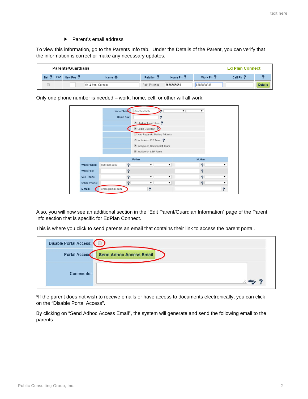$\blacktriangleright$  Parent's email address

To view this information, go to the Parents Info tab. Under the Details of the Parent, you can verify that the information is correct or make any necessary updates.

| <b>Parents/Guardians</b> |     |                      |                               |                     |                      | <b>Ed Plan Connect</b> |                      |                |
|--------------------------|-----|----------------------|-------------------------------|---------------------|----------------------|------------------------|----------------------|----------------|
| Del                      | Pos | New Pos <sup>?</sup> | Name $\mathbf{\mathbf{\ast}}$ | Relation ?          | Home Ph <sup>2</sup> | Work Ph ?              | Cell Ph <sup>7</sup> |                |
|                          |     |                      | Mr. & Mrs. Connect            | <b>Both Parents</b> | 5555555555           | 888888888              |                      | <b>Details</b> |

Only one phone number is needed – work, home, cell, or other will all work.

|                    | Home Phone:  | 555-555-5555 |                              |    |                            |                      |
|--------------------|--------------|--------------|------------------------------|----|----------------------------|----------------------|
|                    | Home Fax:    |              | 9                            |    |                            |                      |
|                    |              |              | Student Lives Here ?         |    |                            |                      |
|                    |              |              | Legal Guardian ?             |    |                            |                      |
|                    |              |              | Has Separate Mailing Address |    |                            |                      |
|                    |              |              | Include on IEP Team ?        |    |                            |                      |
|                    |              |              | Include on Section504 Team   |    |                            |                      |
|                    |              |              | Include on LEP Team          |    |                            |                      |
|                    |              | Father       |                              |    | Mother                     |                      |
|                    |              | ?            | $\mathbf{v}$                 | ۰. | $\boldsymbol{\mathcal{P}}$ | $\mathbf{v}$         |
| <b>Work Phone:</b> | 888-888-8888 |              |                              |    |                            |                      |
| <b>Work Fax:</b>   |              | ?            |                              |    | ?                          |                      |
| <b>Cell Phone:</b> |              | ?            | $\pmb{\mathrm{v}}$           |    | 9                          | $\blacktriangledown$ |
| Other Phone:       |              | ?            | $\pmb{\mathrm{v}}$           |    | ?                          | ▼                    |

Also, you will now see an additional section in the "Edit Parent/Guardian Information" page of the Parent Info section that is specific for EdPlan Connect.

This is where you click to send parents an email that contains their link to access the parent portal.

| Disable Portal Access: |                                |  |
|------------------------|--------------------------------|--|
| Portal Access          | <b>Send Adhoc Access Email</b> |  |
|                        |                                |  |
| Comments:              |                                |  |

\*If the parent does not wish to receive emails or have access to documents electronically, you can click on the "Disable Portal Access".

By clicking on "Send Adhoc Access Email", the system will generate and send the following email to the parents: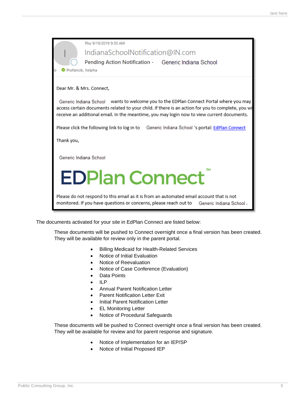

The documents activated for your site in EdPlan Connect are listed below:

These documents will be pushed to Connect overnight once a final version has been created. They will be available for review only in the parent portal.

- Billing Medicaid for Health-Related Services
- Notice of Initial Evaluation
- Notice of Reevaluation
- Notice of Case Conference (Evaluation)
- Data Points
- ILP
- Annual Parent Notification Letter
- Parent Notification Letter Exit
- Initial Parent Notification Letter
- EL Monitoring Letter
- Notice of Procedural Safeguards

These documents will be pushed to Connect overnight once a final version has been created. They will be available for review and for parent response and signature.

- Notice of Implementation for an IEP/SP
- Notice of Initial Proposed IEP